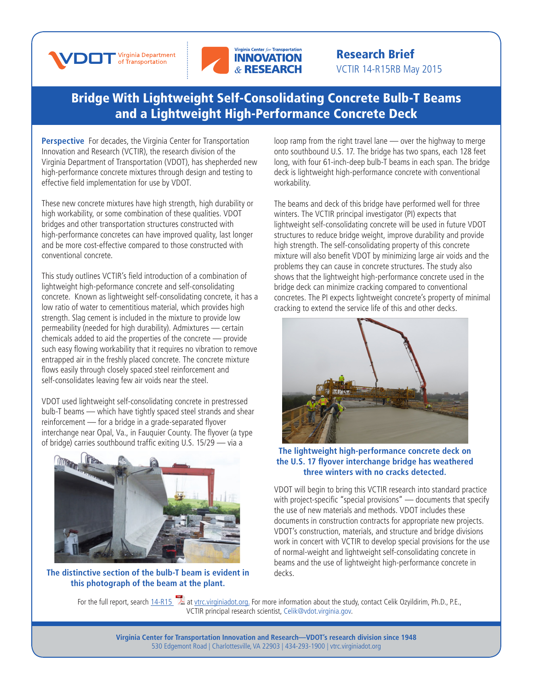



## Research Brief VCTIR 14-R15RB May 2015

## [Bridge With Lightweight Self-Consolidating Concrete Bulb-T Beams](http://www.virginiadot.org/vtrc/main/online_reports/pdf/14-r15.pdf)  and a Lightweight High-Performance Concrete Deck

**Perspective** For decades, the Virginia Center for Transportation Innovation and Research (VCTIR), the research division of the Virginia Department of Transportation (VDOT), has shepherded new high-performance concrete mixtures through design and testing to effective field implementation for use by VDOT.

These new concrete mixtures have high strength, high durability or high workability, or some combination of these qualities. VDOT bridges and other transportation structures constructed with high-performance concretes can have improved quality, last longer and be more cost-effective compared to those constructed with conventional concrete.

This study outlines VCTIR's field introduction of a combination of lightweight high-peformance concrete and self-consolidating concrete. Known as lightweight self-consolidating concrete, it has a low ratio of water to cementitious material, which provides high strength. Slag cement is included in the mixture to provide low permeability (needed for high durability). Admixtures — certain chemicals added to aid the properties of the concrete — provide such easy flowing workability that it requires no vibration to remove entrapped air in the freshly placed concrete. The concrete mixture flows easily through closely spaced steel reinforcement and self-consolidates leaving few air voids near the steel.

VDOT used lightweight self-consolidating concrete in prestressed bulb-T beams — which have tightly spaced steel strands and shear reinforcement — for a bridge in a grade-separated flyover interchange near Opal, Va., in Fauquier County. The flyover (a type of bridge) carries southbound traffic exiting U.S. 15/29 — via a



**The distinctive section of the bulb-T beam is evident in this photograph of the beam at the plant.** 

loop ramp from the right travel lane — over the highway to merge onto southbound U.S. 17. The bridge has two spans, each 128 feet long, with four 61-inch-deep bulb-T beams in each span. The bridge deck is lightweight high-performance concrete with conventional workability.

The beams and deck of this bridge have performed well for three winters. The VCTIR principal investigator (PI) expects that lightweight self-consolidating concrete will be used in future VDOT structures to reduce bridge weight, improve durability and provide high strength. The self-consolidating property of this concrete mixture will also benefit VDOT by minimizing large air voids and the problems they can cause in concrete structures. The study also shows that the lightweight high-performance concrete used in the bridge deck can minimize cracking compared to conventional concretes. The PI expects lightweight concrete's property of minimal cracking to extend the service life of this and other decks.



## **The lightweight high-performance concrete deck on the U.S. 17 flyover interchange bridge has weathered three winters with no cracks detected.**

VDOT will begin to bring this VCTIR research into standard practice with project-specific "special provisions" — documents that specify the use of new materials and methods. VDOT includes these documents in construction contracts for appropriate new projects. VDOT's construction, materials, and structure and bridge divisions work in concert with VCTIR to develop special provisions for the use of normal-weight and lightweight self-consolidating concrete in beams and the use of lightweight high-performance concrete in decks.

For the full report, search [14-R1](http://www.virginiadot.org/vtrc/main/online_reports/pdf/14-r15.pdf)5 [a](http://www.virginiadot.org/vtrc/main/online_reports/pdf/14-r15.pdf)t [vtrc.virginiadot.org](http://vtrc.virginiadot.org/). For more information about the study, contact Celik Ozyildirim, Ph.D., P.E., VCTIR principal research scientist, Celi[k@vdot.virginia.gov](mailto:celik%40vdot.virginia.gov?subject=).

**Virginia Center for Transportation Innovation and Research—VDOT's research division since 1948** 530 Edgemont Road | Charlottesville, VA 22903 | 434-293-1900 | [vtrc.virginiadot.org](http://vtrc.virginiadot.org)